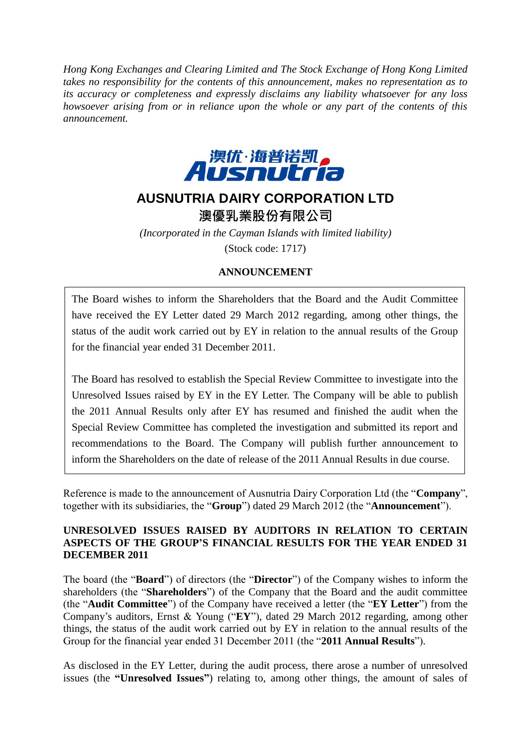*Hong Kong Exchanges and Clearing Limited and The Stock Exchange of Hong Kong Limited takes no responsibility for the contents of this announcement, makes no representation as to its accuracy or completeness and expressly disclaims any liability whatsoever for any loss howsoever arising from or in reliance upon the whole or any part of the contents of this announcement.*



# **AUSNUTRIA DAIRY CORPORATION LTD**

澳優乳業股份有限公司

*(Incorporated in the Cayman Islands with limited liability)* (Stock code: 1717)

## **ANNOUNCEMENT**

The Board wishes to inform the Shareholders that the Board and the Audit Committee have received the EY Letter dated 29 March 2012 regarding, among other things, the status of the audit work carried out by EY in relation to the annual results of the Group for the financial year ended 31 December 2011.

The Board has resolved to establish the Special Review Committee to investigate into the Unresolved Issues raised by EY in the EY Letter. The Company will be able to publish the 2011 Annual Results only after EY has resumed and finished the audit when the Special Review Committee has completed the investigation and submitted its report and recommendations to the Board. The Company will publish further announcement to inform the Shareholders on the date of release of the 2011 Annual Results in due course.

Reference is made to the announcement of Ausnutria Dairy Corporation Ltd (the "**Company**", together with its subsidiaries, the "**Group**") dated 29 March 2012 (the "**Announcement**").

#### **UNRESOLVED ISSUES RAISED BY AUDITORS IN RELATION TO CERTAIN ASPECTS OF THE GROUP'S FINANCIAL RESULTS FOR THE YEAR ENDED 31 DECEMBER 2011**

The board (the "**Board**") of directors (the "**Director**") of the Company wishes to inform the shareholders (the "**Shareholders**") of the Company that the Board and the audit committee (the "**Audit Committee**") of the Company have received a letter (the "**EY Letter**") from the Company's auditors, Ernst & Young ("**EY**"), dated 29 March 2012 regarding, among other things, the status of the audit work carried out by EY in relation to the annual results of the Group for the financial year ended 31 December 2011 (the "**2011 Annual Results**").

As disclosed in the EY Letter, during the audit process, there arose a number of unresolved issues (the **"Unresolved Issues"**) relating to, among other things, the amount of sales of